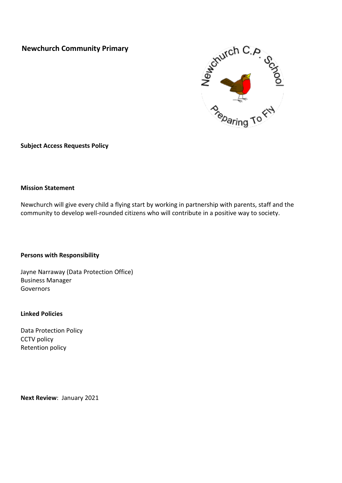# **Newchurch Community Primary**



**Subject Access Requests Policy**

#### **Mission Statement**

Newchurch will give every child a flying start by working in partnership with parents, staff and the community to develop well-rounded citizens who will contribute in a positive way to society.

#### **Persons with Responsibility**

Jayne Narraway (Data Protection Office) Business Manager Governors

#### **Linked Policies**

Data Protection Policy CCTV policy Retention policy

**Next Review**: January 2021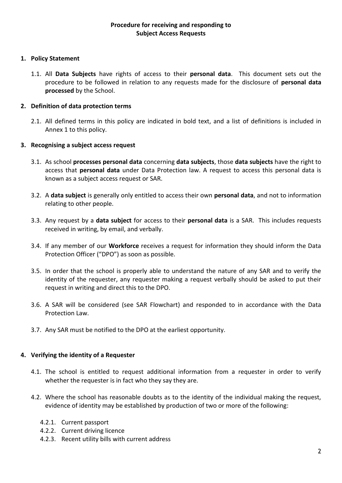### **Procedure for receiving and responding to Subject Access Requests**

### **1. Policy Statement**

1.1. All **Data Subjects** have rights of access to their **personal data**. This document sets out the procedure to be followed in relation to any requests made for the disclosure of **personal data processed** by the School.

## **2. Definition of data protection terms**

2.1. All defined terms in this policy are indicated in bold text, and a list of definitions is included in Annex 1 to this policy.

## **3. Recognising a subject access request**

- 3.1. As school **processes personal data** concerning **data subjects**, those **data subjects** have the right to access that **personal data** under Data Protection law. A request to access this personal data is known as a subject access request or SAR.
- 3.2. A **data subject** is generally only entitled to access their own **personal data**, and not to information relating to other people.
- 3.3. Any request by a **data subject** for access to their **personal data** is a SAR. This includes requests received in writing, by email, and verbally.
- 3.4. If any member of our **Workforce** receives a request for information they should inform the Data Protection Officer ("DPO") as soon as possible.
- 3.5. In order that the school is properly able to understand the nature of any SAR and to verify the identity of the requester, any requester making a request verbally should be asked to put their request in writing and direct this to the DPO.
- 3.6. A SAR will be considered (see SAR Flowchart) and responded to in accordance with the Data Protection Law.
- 3.7. Any SAR must be notified to the DPO at the earliest opportunity.

## **4. Verifying the identity of a Requester**

- 4.1. The school is entitled to request additional information from a requester in order to verify whether the requester is in fact who they say they are.
- 4.2. Where the school has reasonable doubts as to the identity of the individual making the request, evidence of identity may be established by production of two or more of the following:
	- 4.2.1. Current passport
	- 4.2.2. Current driving licence
	- 4.2.3. Recent utility bills with current address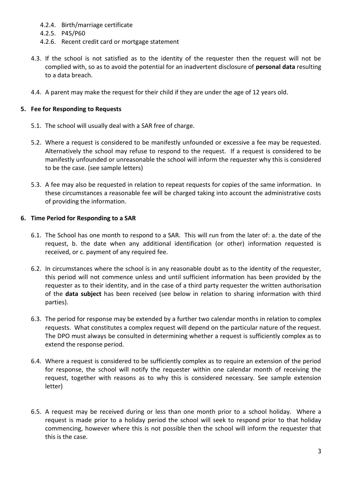- 4.2.4. Birth/marriage certificate
- 4.2.5. P45/P60
- 4.2.6. Recent credit card or mortgage statement
- 4.3. If the school is not satisfied as to the identity of the requester then the request will not be complied with, so as to avoid the potential for an inadvertent disclosure of **personal data** resulting to a data breach.
- 4.4. A parent may make the request for their child if they are under the age of 12 years old.

#### **5. Fee for Responding to Requests**

- 5.1. The school will usually deal with a SAR free of charge.
- 5.2. Where a request is considered to be manifestly unfounded or excessive a fee may be requested. Alternatively the school may refuse to respond to the request. If a request is considered to be manifestly unfounded or unreasonable the school will inform the requester why this is considered to be the case. (see sample letters)
- 5.3. A fee may also be requested in relation to repeat requests for copies of the same information. In these circumstances a reasonable fee will be charged taking into account the administrative costs of providing the information.

#### **6. Time Period for Responding to a SAR**

- 6.1. The School has one month to respond to a SAR. This will run from the later of: a. the date of the request, b. the date when any additional identification (or other) information requested is received, or c. payment of any required fee.
- 6.2. In circumstances where the school is in any reasonable doubt as to the identity of the requester, this period will not commence unless and until sufficient information has been provided by the requester as to their identity, and in the case of a third party requester the written authorisation of the **data subject** has been received (see below in relation to sharing information with third parties).
- 6.3. The period for response may be extended by a further two calendar months in relation to complex requests. What constitutes a complex request will depend on the particular nature of the request. The DPO must always be consulted in determining whether a request is sufficiently complex as to extend the response period.
- 6.4. Where a request is considered to be sufficiently complex as to require an extension of the period for response, the school will notify the requester within one calendar month of receiving the request, together with reasons as to why this is considered necessary. See sample extension letter)
- 6.5. A request may be received during or less than one month prior to a school holiday. Where a request is made prior to a holiday period the school will seek to respond prior to that holiday commencing, however where this is not possible then the school will inform the requester that this is the case.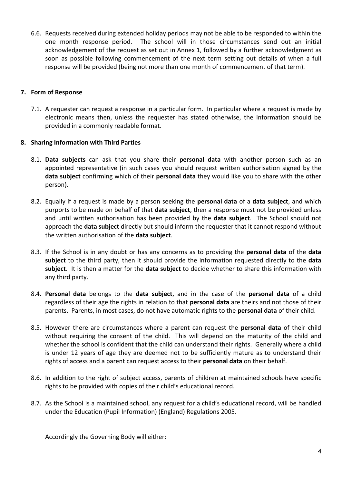6.6. Requests received during extended holiday periods may not be able to be responded to within the one month response period. The school will in those circumstances send out an initial acknowledgement of the request as set out in Annex 1, followed by a further acknowledgment as soon as possible following commencement of the next term setting out details of when a full response will be provided (being not more than one month of commencement of that term).

### **7. Form of Response**

7.1. A requester can request a response in a particular form. In particular where a request is made by electronic means then, unless the requester has stated otherwise, the information should be provided in a commonly readable format.

### **8. Sharing Information with Third Parties**

- 8.1. **Data subjects** can ask that you share their **personal data** with another person such as an appointed representative (in such cases you should request written authorisation signed by the **data subject** confirming which of their **personal data** they would like you to share with the other person).
- 8.2. Equally if a request is made by a person seeking the **personal data** of a **data subject**, and which purports to be made on behalf of that **data subject**, then a response must not be provided unless and until written authorisation has been provided by the **data subject**. The School should not approach the **data subject** directly but should inform the requester that it cannot respond without the written authorisation of the **data subject**.
- 8.3. If the School is in any doubt or has any concerns as to providing the **personal data** of the **data subject** to the third party, then it should provide the information requested directly to the **data subject**. It is then a matter for the **data subject** to decide whether to share this information with any third party.
- 8.4. **Personal data** belongs to the **data subject**, and in the case of the **personal data** of a child regardless of their age the rights in relation to that **personal data** are theirs and not those of their parents. Parents, in most cases, do not have automatic rights to the **personal data** of their child.
- 8.5. However there are circumstances where a parent can request the **personal data** of their child without requiring the consent of the child. This will depend on the maturity of the child and whether the school is confident that the child can understand their rights. Generally where a child is under 12 years of age they are deemed not to be sufficiently mature as to understand their rights of access and a parent can request access to their **personal data** on their behalf.
- 8.6. In addition to the right of subject access, parents of children at maintained schools have specific rights to be provided with copies of their child's educational record.
- 8.7. As the School is a maintained school, any request for a child's educational record, will be handled under the Education (Pupil Information) (England) Regulations 2005.

Accordingly the Governing Body will either: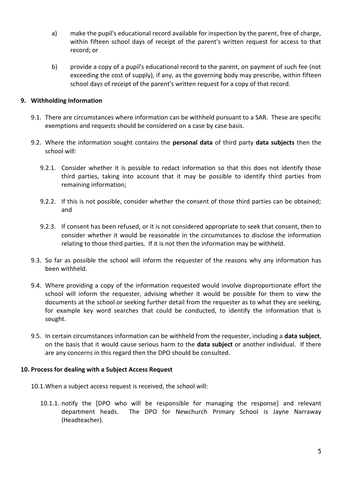- a) make the pupil's educational record available for inspection by the parent, free of charge, within fifteen school days of receipt of the parent's written request for access to that record; or
- b) provide a copy of a pupil's educational record to the parent, on payment of such fee (not exceeding the cost of supply), if any, as the governing body may prescribe, within fifteen school days of receipt of the parent's written request for a copy of that record.

### **9. Withholding Information**

- 9.1. There are circumstances where information can be withheld pursuant to a SAR. These are specific exemptions and requests should be considered on a case by case basis.
- 9.2. Where the information sought contains the **personal data** of third party **data subjects** then the school will:
	- 9.2.1. Consider whether it is possible to redact information so that this does not identify those third parties, taking into account that it may be possible to identify third parties from remaining information;
	- 9.2.2. If this is not possible, consider whether the consent of those third parties can be obtained; and
	- 9.2.3. If consent has been refused, or it is not considered appropriate to seek that consent, then to consider whether it would be reasonable in the circumstances to disclose the information relating to those third parties. If it is not then the information may be withheld.
- 9.3. So far as possible the school will inform the requester of the reasons why any information has been withheld.
- 9.4. Where providing a copy of the information requested would involve disproportionate effort the school will inform the requester, advising whether it would be possible for them to view the documents at the school or seeking further detail from the requester as to what they are seeking, for example key word searches that could be conducted, to identify the information that is sought.
- 9.5. In certain circumstances information can be withheld from the requester, including a **data subject**, on the basis that it would cause serious harm to the **data subject** or another individual. If there are any concerns in this regard then the DPO should be consulted.

### **10. Process for dealing with a Subject Access Request**

- 10.1.When a subject access request is received, the school will:
	- 10.1.1. notify the [DPO who will be responsible for managing the response] and relevant department heads. The DPO for Newchurch Primary School is Jayne Narraway (Headteacher).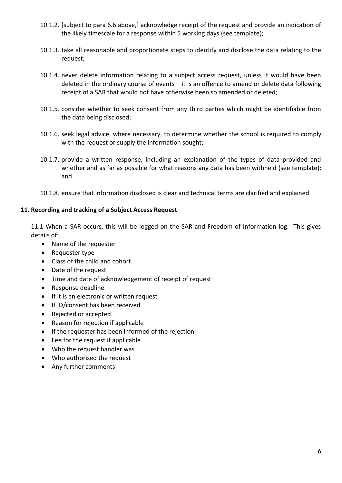- 10.1.2. [subject to para 6.6 above,] acknowledge receipt of the request and provide an indication of the likely timescale for a response within 5 working days (see template);
- 10.1.3. take all reasonable and proportionate steps to identify and disclose the data relating to the request;
- 10.1.4. never delete information relating to a subject access request, unless it would have been deleted in the ordinary course of events – it is an offence to amend or delete data following receipt of a SAR that would not have otherwise been so amended or deleted;
- 10.1.5. consider whether to seek consent from any third parties which might be identifiable from the data being disclosed;
- 10.1.6. seek legal advice, where necessary, to determine whether the school is required to comply with the request or supply the information sought;
- 10.1.7. provide a written response, including an explanation of the types of data provided and whether and as far as possible for what reasons any data has been withheld (see template); and
- 10.1.8. ensure that information disclosed is clear and technical terms are clarified and explained.

### **11. Recording and tracking of a Subject Access Request**

11.1 When a SAR occurs, this will be logged on the SAR and Freedom of Information log. This gives details of:

- Name of the requester
- Requester type
- Class of the child and cohort
- Date of the request
- Time and date of acknowledgement of receipt of request
- Response deadline
- If it is an electronic or written request
- If ID/consent has been received
- Rejected or accepted
- Reason for rejection if applicable
- If the requester has been informed of the rejection
- Fee for the request if applicable
- Who the request handler was
- Who authorised the request
- Any further comments